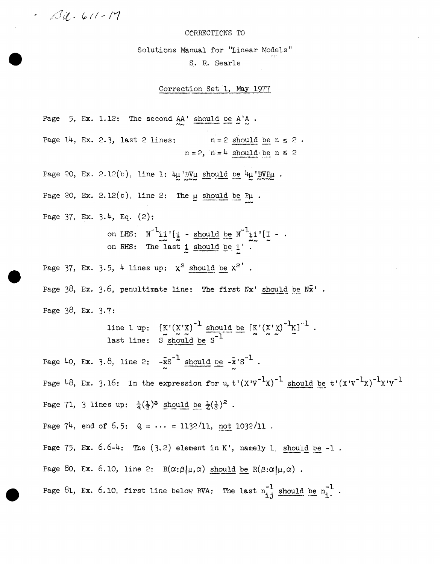

## CORRECTIONS TO

Solutions Manual for "Linear Models"

S. R. Searle

Correction Set l, May 1977

Page  $5$ , Ex. 1.12: The second  $AA'$  should be  $A'A$ .  $\frac{AA'}{A}$  should be  $A'A$ 

Page 14, Ex. 2.3, last 2 lines:  $n=2$  should be  $n \leq 2$ .  $n = 2$ ,  $n = 4$  should be  $n \leq 2$ 

Page 20, Ex. 2. l2(b), line 1:  $4\mu$  BV $\mu$  should be  $4\mu$  BVB $\mu$ .

Page 20, Ex. 2.12(b), line 2: The  $\mu$  should be  $P\mu$ .

Page 37, Ex. 3.4, Eq. (2):

on LHS:  $N^{-1}$ **11'** [**1** - should be  $N^{-1}$ **11'** [**I** - .<br>on RHS: The last 1 should be 1'.

Page 37, Ex. 3.5, 4 lines up:  $\chi^2$  should be  $\chi^2$ '.

Page  $38$ , Ex.  $3.6$ , penultimate line: The first Nx' should be  $\nN\bar{x}'$  . Page 38, Ex. 3-7:

> line l up: last line:  $[K'(X'X)^{-1}$  should be  $[K'(X'X)^{-1}K]^{-1}$  $S \nabla \times \sim 1$   $\overline{S}$  should be  $S^{-1}$   $\sim \sim 1$  .

Page 40, Ex. 3.8, line 2:  $-\bar{x}s^{-1}$  should be  $-\bar{x}$ 's<sup>-1</sup>. Page 48, Ex. 3.16: In the expression for u,  $t'(X'Y^{-1}X)^{-1}$  should be  $t'(X'Y^{-1}X)^{-1}X'Y^{-1}$ Page 71, 3 lines up:  $\frac{1}{4}(\frac{1}{3})^3$  should be  $\frac{1}{2}(\frac{1}{3})^2$ .

Page 74, end of 6.5:  $Q = \cdots = 1132/11$ , not  $1032/11$ .

Page 75, Ex.  $6.6-4$ : The  $(3,2)$  element in K', namely 1, should be -1.

Page 80, Ex. 6.10, line 2:  $R(\alpha;\beta|\mu,\alpha)$  should be  $R(\beta;\alpha|\mu,\alpha)$ .

Page 81, Ex. 6.10, first line below RVA: The last  $n_{i,j}^{-1}$  should be  $n_i^{-1}$ .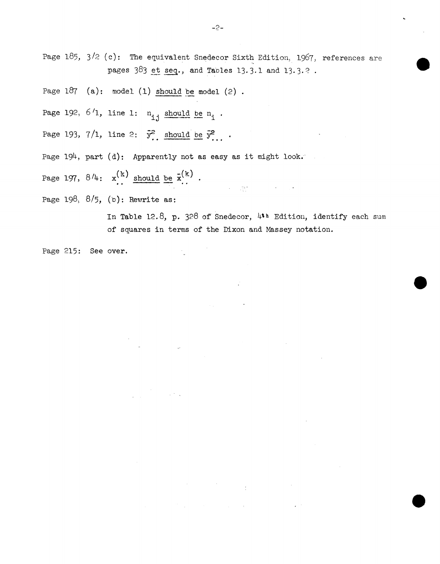Page 185,  $3/2$  (c): The equivalent Snedecor Sixth Edition, 1967, references are pages  $383$  et seq., and Tables 13.3.1 and 13.3.2.

Page  $187$  (a): model (1) should be model (2).

Page 192,  $6'1$ , line 1:  $n_{i,j}$  should be  $n_i$ .

Page 193, 7/1, line 2:  $\bar{y}^2$ , should be  $\bar{y}^2$ .

Page 194, part (d): Apparently not as easy as it might look.

 $\sim 10^{-1}$  .

 $\label{eq:2.1} \frac{1}{2} \int_{\mathbb{R}^3} \left| \frac{d\mu}{\mu} \right|^2 \, d\mu = \frac{1}{2} \int_{\mathbb{R}^3} \left| \frac{d\mu}{\mu} \right|^2 \, d\mu = \frac{1}{2} \int_{\mathbb{R}^3} \left| \frac{d\mu}{\mu} \right|^2 \, d\mu = \frac{1}{2} \int_{\mathbb{R}^3} \left| \frac{d\mu}{\mu} \right|^2 \, d\mu = \frac{1}{2} \int_{\mathbb{R}^3} \left| \frac{d\mu}{\mu} \right|^2 \, d\mu = \$ 

 $\label{eq:2.1} \mathcal{L}_{\mathbf{A}}(\mathbf{y}) = \mathcal{L}_{\mathbf{A}}(\mathbf{y}) + \mathcal{L}_{\mathbf{A}}(\mathbf{y}) + \mathcal{L}_{\mathbf{A}}(\mathbf{y})$ 

Page 197,  $8/4$ :  $x^{(k)}$  should be  $\bar{x}^{(k)}$ .

Page 198,  $8/5$ , (b): Rewrite as:

In Table 12.8, p. 328 of Snedecor,  $4$ \*\* Edition, identify each sum of squares in terms of the Dixon and Massey notation.

jar.<br>J

 $\mathcal{L}^{\text{max}}_{\text{max}}$  , where  $\mathcal{L}^{\text{max}}_{\text{max}}$ 

Page 215: See over.